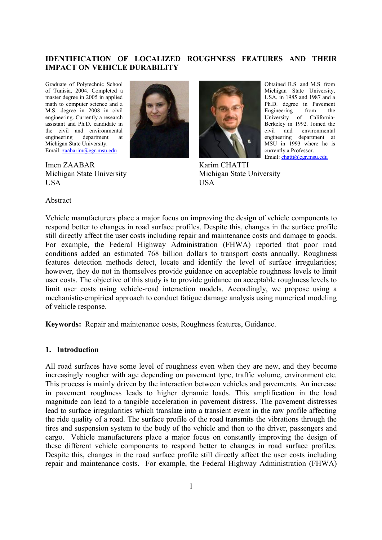#### **IDENTIFICATION OF LOCALIZED ROUGHNESS FEATURES AND THEIR IMPACT ON VEHICLE DURABILITY**

Graduate of Polytechnic School of Tunisia, 2004. Completed a master degree in 2005 in applied math to computer science and a M.S. degree in 2008 in civil engineering. Currently a research assistant and Ph.D. candidate in the civil and environmental engineering department at Michigan State University. Email: [zaabarim@egr.msu.edu](mailto:zaabarim@egr.msu.edu)

Imen ZAABAR Michigan State University **USA** 





Karim CHATTI Michigan State University USA

Obtained B.S. and M.S. from Michigan State University, USA, in 1985 and 1987 and a Ph.D. degree in Pavement Engineering from the University of California-Berkeley in 1992. Joined the civil and environmental engineering department at MSU in 1993 where he is currently a Professor.

Email: [chatti@egr.msu.edu](mailto:chatti@egr.msu.edu)

#### Abstract

Vehicle manufacturers place a major focus on improving the design of vehicle components to respond better to changes in road surface profiles. Despite this, changes in the surface profile still directly affect the user costs including repair and maintenance costs and damage to goods. For example, the Federal Highway Administration (FHWA) reported that poor road conditions added an estimated 768 billion dollars to transport costs annually. Roughness features detection methods detect, locate and identify the level of surface irregularities; however, they do not in themselves provide guidance on acceptable roughness levels to limit user costs. The objective of this study is to provide guidance on acceptable roughness levels to limit user costs using vehicle-road interaction models. Accordingly, we propose using a mechanistic-empirical approach to conduct fatigue damage analysis using numerical modeling of vehicle response.

**Keywords:** Repair and maintenance costs, Roughness features, Guidance.

#### **1. Introduction**

All road surfaces have some level of roughness even when they are new, and they become increasingly rougher with age depending on pavement type, traffic volume, environment etc. This process is mainly driven by the interaction between vehicles and pavements. An increase in pavement roughness leads to higher dynamic loads. This amplification in the load magnitude can lead to a tangible acceleration in pavement distress. The pavement distresses lead to surface irregularities which translate into a transient event in the raw profile affecting the ride quality of a road. The surface profile of the road transmits the vibrations through the tires and suspension system to the body of the vehicle and then to the driver, passengers and cargo. Vehicle manufacturers place a major focus on constantly improving the design of these different vehicle components to respond better to changes in road surface profiles. Despite this, changes in the road surface profile still directly affect the user costs including repair and maintenance costs. For example, the Federal Highway Administration (FHWA)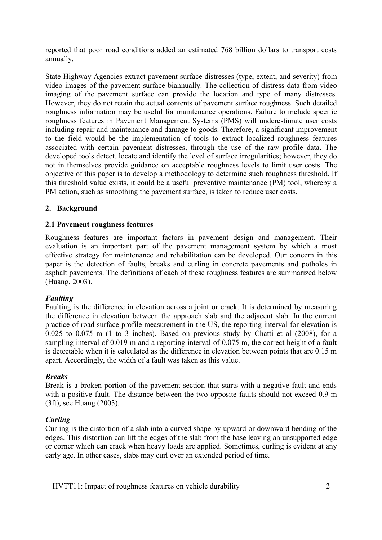reported that poor road conditions added an estimated 768 billion dollars to transport costs annually.

State Highway Agencies extract pavement surface distresses (type, extent, and severity) from video images of the pavement surface biannually. The collection of distress data from video imaging of the pavement surface can provide the location and type of many distresses. However, they do not retain the actual contents of pavement surface roughness. Such detailed roughness information may be useful for maintenance operations. Failure to include specific roughness features in Pavement Management Systems (PMS) will underestimate user costs including repair and maintenance and damage to goods. Therefore, a significant improvement to the field would be the implementation of tools to extract localized roughness features associated with certain pavement distresses, through the use of the raw profile data. The developed tools detect, locate and identify the level of surface irregularities; however, they do not in themselves provide guidance on acceptable roughness levels to limit user costs. The objective of this paper is to develop a methodology to determine such roughness threshold. If this threshold value exists, it could be a useful preventive maintenance (PM) tool, whereby a PM action, such as smoothing the pavement surface, is taken to reduce user costs.

# **2. Background**

## **2.1 Pavement roughness features**

Roughness features are important factors in pavement design and management. Their evaluation is an important part of the pavement management system by which a most effective strategy for maintenance and rehabilitation can be developed. Our concern in this paper is the detection of faults, breaks and curling in concrete pavements and potholes in asphalt pavements. The definitions of each of these roughness features are summarized below (Huang, 2003).

## *Faulting*

Faulting is the difference in elevation across a joint or crack. It is determined by measuring the difference in elevation between the approach slab and the adjacent slab. In the current practice of road surface profile measurement in the US, the reporting interval for elevation is 0.025 to 0.075 m (1 to 3 inches). Based on previous study by Chatti et al (2008), for a sampling interval of 0.019 m and a reporting interval of 0.075 m, the correct height of a fault is detectable when it is calculated as the difference in elevation between points that are 0.15 m apart. Accordingly, the width of a fault was taken as this value.

## *Breaks*

Break is a broken portion of the pavement section that starts with a negative fault and ends with a positive fault. The distance between the two opposite faults should not exceed 0.9 m (3ft), see Huang (2003).

## *Curling*

Curling is the distortion of a slab into a curved shape by upward or downward bending of the edges. This distortion can lift the edges of the slab from the base leaving an unsupported edge or corner which can crack when heavy loads are applied. Sometimes, curling is evident at any early age. In other cases, slabs may curl over an extended period of time.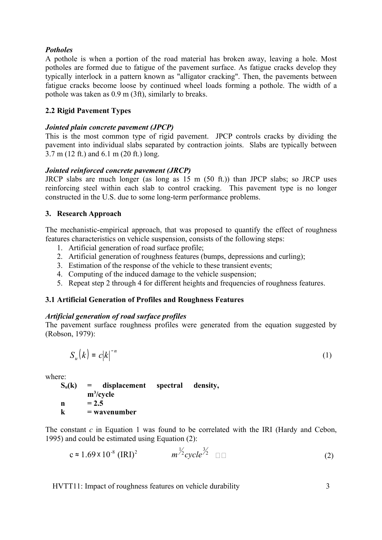## *Potholes*

A pothole is when a portion of the road material has broken away, leaving a hole. Most potholes are formed due to fatigue of the pavement surface. As fatigue cracks develop they typically interlock in a pattern known as "alligator cracking". Then, the pavements between fatigue cracks become loose by continued wheel loads forming a pothole. The width of a pothole was taken as 0.9 m (3ft), similarly to breaks.

## **2.2 Rigid Pavement Types**

# *Jointed plain concrete pavement (JPCP)*

This is the most common type of rigid pavement. JPCP controls cracks by dividing the pavement into individual slabs separated by contraction joints. Slabs are typically between 3.7 m (12 ft.) and 6.1 m (20 ft.) long.

# *Jointed reinforced concrete pavement (JRCP)*

JRCP slabs are much longer (as long as 15 m (50 ft.)) than JPCP slabs; so JRCP uses reinforcing steel within each slab to control cracking. This pavement type is no longer constructed in the U.S. due to some long-term performance problems.

# **3. Research Approach**

The mechanistic-empirical approach, that was proposed to quantify the effect of roughness features characteristics on vehicle suspension, consists of the following steps:

- 1. Artificial generation of road surface profile;
- 2. Artificial generation of roughness features (bumps, depressions and curling);
- 3. Estimation of the response of the vehicle to these transient events;
- 4. Computing of the induced damage to the vehicle suspension;
- 5. Repeat step 2 through 4 for different heights and frequencies of roughness features.

# **3.1 Artificial Generation of Profiles and Roughness Features**

## *Artificial generation of road surface profiles*

The pavement surface roughness profiles were generated from the equation suggested by (Robson, 1979):

$$
S_u(k) = c|k|^{-n} \tag{1}
$$

where:

 $S_u(k)$  = displacement spectral density, **m<sup>3</sup> /cycle**  $n = 2.5$ **k = wavenumber**

The constant *c* in Equation 1 was found to be correlated with the IRI (Hardy and Cebon, 1995) and could be estimated using Equation  $(2)$ :

$$
c \approx 1.69 \times 10^{-8} \text{ (IRI)}^2 \qquad \left( m^{\frac{1}{2}} cycle^{\frac{3}{2}} \right) \Box \Box
$$
 (2)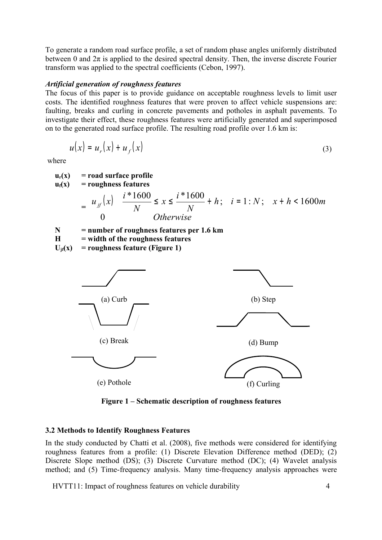To generate a random road surface profile, a set of random phase angles uniformly distributed between 0 and  $2\pi$  is applied to the desired spectral density. Then, the inverse discrete Fourier transform was applied to the spectral coefficients (Cebon, 1997).

#### *Artificial generation of roughness features*

The focus of this paper is to provide guidance on acceptable roughness levels to limit user costs. The identified roughness features that were proven to affect vehicle suspensions are: faulting, breaks and curling in concrete pavements and potholes in asphalt pavements. To investigate their effect, these roughness features were artificially generated and superimposed on to the generated road surface profile. The resulting road profile over 1.6 km is:

$$
u(x) = u_r(x) + u_f(x) \tag{3}
$$

where

$$
u_{r}(x) = \text{road surface profile}
$$
\n
$$
u_{r}(x) = \text{roughness features}
$$
\n
$$
= \begin{cases}\n u_{j}(x) & i * 1600 \\
u_{j}(x) & j * 1600 \\
0 & Otherwise\n\end{cases}
$$
\n
$$
= \text{number of roughness features per 1.6 km}
$$
\n
$$
U_{j}(x) = \text{roughness features}
$$
\n
$$
U_{j}(x) = \text{roughness features}
$$
\n
$$
U_{j}(x) = \text{roughness features}
$$
\n
$$
(a) Curb
$$
\n
$$
(b) Step
$$
\n
$$
(c) Break
$$
\n
$$
(d) Bump
$$
\n
$$
(e) Pothole
$$
\n
$$
(f) Curling
$$

**Figure 1 – Schematic description of roughness features**

## **3.2 Methods to Identify Roughness Features**

In the study conducted by Chatti et al. (2008), five methods were considered for identifying roughness features from a profile: (1) Discrete Elevation Difference method (DED); (2) Discrete Slope method (DS); (3) Discrete Curvature method (DC); (4) Wavelet analysis method; and (5) Time-frequency analysis. Many time-frequency analysis approaches were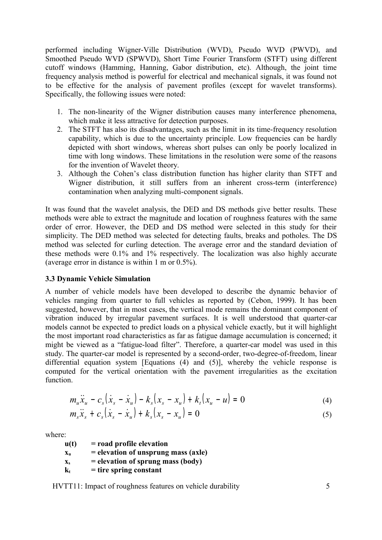performed including Wigner-Ville Distribution (WVD), Pseudo WVD (PWVD), and Smoothed Pseudo WVD (SPWVD), Short Time Fourier Transform (STFT) using different cutoff windows (Hamming, Hanning, Gabor distribution, etc). Although, the joint time frequency analysis method is powerful for electrical and mechanical signals, it was found not to be effective for the analysis of pavement profiles (except for wavelet transforms). Specifically, the following issues were noted:

- 1. The non-linearity of the Wigner distribution causes many interference phenomena, which make it less attractive for detection purposes.
- 2. The STFT has also its disadvantages, such as the limit in its time-frequency resolution capability, which is due to the uncertainty principle. Low frequencies can be hardly depicted with short windows, whereas short pulses can only be poorly localized in time with long windows. These limitations in the resolution were some of the reasons for the invention of Wavelet theory.
- 3. Although the Cohen's class distribution function has higher clarity than STFT and Wigner distribution, it still suffers from an inherent cross-term (interference) contamination when analyzing multi-component signals.

It was found that the wavelet analysis, the DED and DS methods give better results. These methods were able to extract the magnitude and location of roughness features with the same order of error. However, the DED and DS method were selected in this study for their simplicity. The DED method was selected for detecting faults, breaks and potholes. The DS method was selected for curling detection. The average error and the standard deviation of these methods were 0.1% and 1% respectively. The localization was also highly accurate (average error in distance is within 1 m or 0.5%).

## **3.3 Dynamic Vehicle Simulation**

A number of vehicle models have been developed to describe the dynamic behavior of vehicles ranging from quarter to full vehicles as reported by (Cebon, 1999). It has been suggested, however, that in most cases, the vertical mode remains the dominant component of vibration induced by irregular pavement surfaces. It is well understood that quarter-car models cannot be expected to predict loads on a physical vehicle exactly, but it will highlight the most important road characteristics as far as fatigue damage accumulation is concerned; it might be viewed as a "fatigue-load filter". Therefore, a quarter-car model was used in this study. The quarter-car model is represented by a second-order, two-degree-of-freedom, linear differential equation system [Equations (4) and (5)], whereby the vehicle response is computed for the vertical orientation with the pavement irregularities as the excitation function.

$$
m_u \ddot{x}_u - c_s (\dot{x}_s - \dot{x}_u) - k_s (x_s - x_u) + k_t (x_u - u) = 0
$$
 (4)

$$
m_s \ddot{x}_s + c_s (\dot{x}_s - \dot{x}_u) + k_s (x_s - x_u) = 0
$$
 (5)

where:

**u(t) = road profile elevation**  $\mathbf{x}_\text{u}$  = elevation of unsprung mass (axle)  $x<sub>s</sub>$  = elevation of sprung mass (body)  $k_t$  = tire spring constant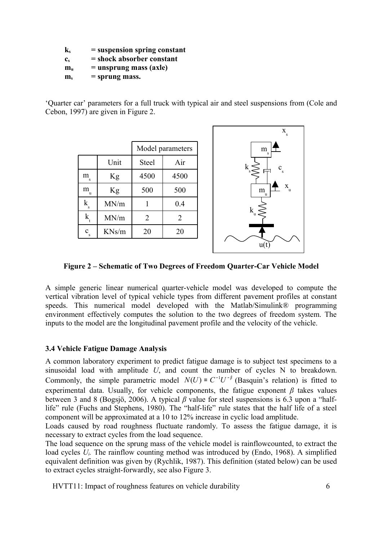**k<sup>s</sup> = suspension spring constant**

**c<sup>s</sup> = shock absorber constant**

 $m_u$  = unsprung mass (axle)

 $m_s =$  **sprung mass.** 

'Quarter car' parameters for a full truck with typical air and steel suspensions from (Cole and Cebon, 1997) are given in Figure 2.

|                       |       | Model parameters |                |  |
|-----------------------|-------|------------------|----------------|--|
|                       | Unit  | Steel            | Air            |  |
| $\rm m_{\rm _s}$      | Kg    | 4500             | 4500           |  |
| m<br><sub>u</sub>     | Kg    | 500              | 500            |  |
| $k_{\rm s}$           | MN/m  |                  | 0.4            |  |
| $\mathbf{k}_{\alpha}$ | MN/m  | $\overline{2}$   | $\overline{2}$ |  |
| c<br>s                | KNs/m | 20               | 20             |  |



**Figure 2 – Schematic of Two Degrees of Freedom Quarter-Car Vehicle Model**

A simple generic linear numerical quarter-vehicle model was developed to compute the vertical vibration level of typical vehicle types from different pavement profiles at constant speeds. This numerical model developed with the Matlab/Simulink<sup>®</sup> programming environment effectively computes the solution to the two degrees of freedom system. The inputs to the model are the longitudinal pavement profile and the velocity of the vehicle.

## **3.4 Vehicle Fatigue Damage Analysis**

A common laboratory experiment to predict fatigue damage is to subject test specimens to a sinusoidal load with amplitude *U*, and count the number of cycles N to breakdown. Commonly, the simple parametric model  $N(U) = C^{-1}U^{-\beta}$  (Basquin's relation) is fitted to experimental data. Usually, for vehicle components, the fatigue exponent *β* takes values between 3 and 8 (Bogsjö, 2006). A typical *β* value for steel suspensions is 6.3 upon a "halflife" rule (Fuchs and Stephens, 1980). The "half-life" rule states that the half life of a steel component will be approximated at a 10 to 12% increase in cyclic load amplitude.

Loads caused by road roughness fluctuate randomly. To assess the fatigue damage, it is necessary to extract cycles from the load sequence.

The load sequence on the sprung mass of the vehicle model is rainflowcounted, to extract the load cycles *U<sub>i</sub>*. The rainflow counting method was introduced by (Endo, 1968). A simplified equivalent definition was given by (Rychlik, 1987). This definition (stated below) can be used to extract cycles straight-forwardly, see also Figure 3.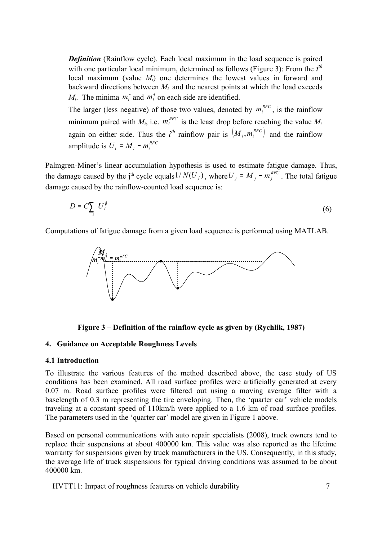*Definition* (Rainflow cycle). Each local maximum in the load sequence is paired with one particular local minimum, determined as follows (Figure 3): From the *i th* local maximum (value *Mi*) one determines the lowest values in forward and backward directions between  $M_i$  and the nearest points at which the load exceeds *M<sub>i</sub>*. The minima  $m_i$  and  $m_i$  on each side are identified.

The larger (less negative) of those two values, denoted by  $m_i^{RFC}$ , is the rainflow minimum paired with  $M_i$ , i.e.  $m_i^{RFC}$  is the least drop before reaching the value  $M_i$ again on either side. Thus the  $i^{th}$  rainflow pair is  $(M_i, m_i^{RFC})$  and the rainflow amplitude is  $U_i = M_i - m_i^{RFC}$ 

Palmgren-Miner's linear accumulation hypothesis is used to estimate fatigue damage. Thus, the damage caused by the j<sup>th</sup> cycle equals  $1/N(U_j)$ , where  $U_j = M_j - m_j^{RFC}$ . The total fatigue damage caused by the rainflow-counted load sequence is:

$$
D = C \sum_{i} U_{i}^{\beta} \tag{6}
$$

Computations of fatigue damage from a given load sequence is performed using MATLAB.



**Figure 3 – Definition of the rainflow cycle as given by (Rychlik, 1987)**

#### **4. Guidance on Acceptable Roughness Levels**

#### **4.1 Introduction**

To illustrate the various features of the method described above, the case study of US conditions has been examined. All road surface profiles were artificially generated at every 0.07 m. Road surface profiles were filtered out using a moving average filter with a baselength of 0.3 m representing the tire enveloping. Then, the 'quarter car' vehicle models traveling at a constant speed of 110km/h were applied to a 1.6 km of road surface profiles. The parameters used in the 'quarter car' model are given in Figure 1 above.

Based on personal communications with auto repair specialists (2008), truck owners tend to replace their suspensions at about 400000 km. This value was also reported as the lifetime warranty for suspensions given by truck manufacturers in the US. Consequently, in this study, the average life of truck suspensions for typical driving conditions was assumed to be about 400000 km.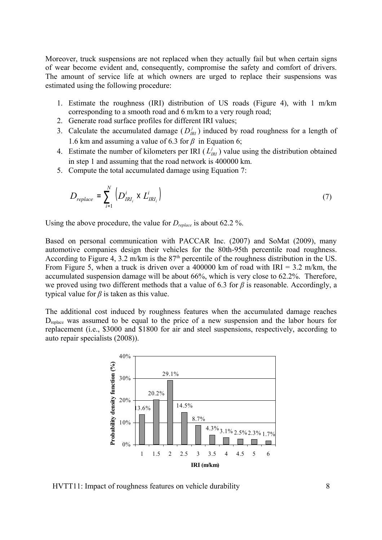Moreover, truck suspensions are not replaced when they actually fail but when certain signs of wear become evident and, consequently, compromise the safety and comfort of drivers. The amount of service life at which owners are urged to replace their suspensions was estimated using the following procedure:

- 1. Estimate the roughness (IRI) distribution of US roads (Figure 4), with 1 m/km corresponding to a smooth road and 6 m/km to a very rough road;
- 2. Generate road surface profiles for different IRI values;
- 3. Calculate the accumulated damage  $(D_{IRI}^j)$  induced by road roughness for a length of 1.6 km and assuming a value of 6.3 for  $\beta$  in Equation 6;
- 4. Estimate the number of kilometers per IRI ( $L_{IRI}^j$ ) value using the distribution obtained in step 1 and assuming that the road network is 400000 km.
- 5. Compute the total accumulated damage using Equation 7:

$$
D_{replace} = \sum_{i=1}^{N} \left( D_{IRI_i}^i \times L_{IRI_i}^i \right) \tag{7}
$$

Using the above procedure, the value for *Dreplace* is about 62.2 %.

Based on personal communication with PACCAR Inc. (2007) and SoMat (2009), many automotive companies design their vehicles for the 80th-95th percentile road roughness. According to Figure 4, 3.2 m/km is the  $87<sup>th</sup>$  percentile of the roughness distribution in the US. From Figure 5, when a truck is driven over a 400000 km of road with  $IRI = 3.2$  m/km, the accumulated suspension damage will be about 66%, which is very close to 62.2%. Therefore, we proved using two different methods that a value of 6.3 for *β* is reasonable. Accordingly, a typical value for  $\beta$  is taken as this value.

The additional cost induced by roughness features when the accumulated damage reaches D<sub>replace</sub> was assumed to be equal to the price of a new suspension and the labor hours for replacement (i.e., \$3000 and \$1800 for air and steel suspensions, respectively, according to auto repair specialists (2008)).



HVTT11: Impact of roughness features on vehicle durability 8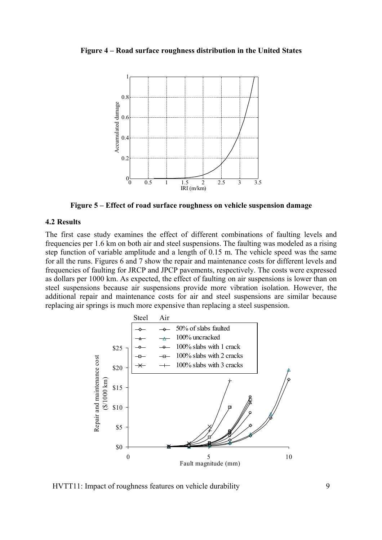#### **Figure 4 – Road surface roughness distribution in the United States**



**Figure 5 – Effect of road surface roughness on vehicle suspension damage**

#### **4.2 Results**

The first case study examines the effect of different combinations of faulting levels and frequencies per 1.6 km on both air and steel suspensions. The faulting was modeled as a rising step function of variable amplitude and a length of 0.15 m. The vehicle speed was the same for all the runs. Figures 6 and 7 show the repair and maintenance costs for different levels and frequencies of faulting for JRCP and JPCP pavements, respectively. The costs were expressed as dollars per 1000 km. As expected, the effect of faulting on air suspensions is lower than on steel suspensions because air suspensions provide more vibration isolation. However, the additional repair and maintenance costs for air and steel suspensions are similar because replacing air springs is much more expensive than replacing a steel suspension.



HVTT11: Impact of roughness features on vehicle durability 9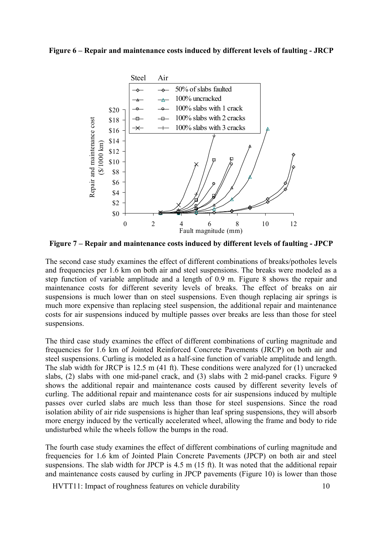#### **Figure 6 – Repair and maintenance costs induced by different levels of faulting - JRCP**



**Figure 7 – Repair and maintenance costs induced by different levels of faulting - JPCP**

The second case study examines the effect of different combinations of breaks/potholes levels and frequencies per 1.6 km on both air and steel suspensions. The breaks were modeled as a step function of variable amplitude and a length of 0.9 m. Figure 8 shows the repair and maintenance costs for different severity levels of breaks. The effect of breaks on air suspensions is much lower than on steel suspensions. Even though replacing air springs is much more expensive than replacing steel suspension, the additional repair and maintenance costs for air suspensions induced by multiple passes over breaks are less than those for steel suspensions.

The third case study examines the effect of different combinations of curling magnitude and frequencies for 1.6 km of Jointed Reinforced Concrete Pavements (JRCP) on both air and steel suspensions. Curling is modeled as a half-sine function of variable amplitude and length. The slab width for JRCP is 12.5 m (41 ft). These conditions were analyzed for (1) uncracked slabs, (2) slabs with one mid-panel crack, and (3) slabs with 2 mid-panel cracks. Figure 9 shows the additional repair and maintenance costs caused by different severity levels of curling. The additional repair and maintenance costs for air suspensions induced by multiple passes over curled slabs are much less than those for steel suspensions. Since the road isolation ability of air ride suspensions is higher than leaf spring suspensions, they will absorb more energy induced by the vertically accelerated wheel, allowing the frame and body to ride undisturbed while the wheels follow the bumps in the road.

The fourth case study examines the effect of different combinations of curling magnitude and frequencies for 1.6 km of Jointed Plain Concrete Pavements (JPCP) on both air and steel suspensions. The slab width for JPCP is 4.5 m (15 ft). It was noted that the additional repair and maintenance costs caused by curling in JPCP pavements (Figure 10) is lower than those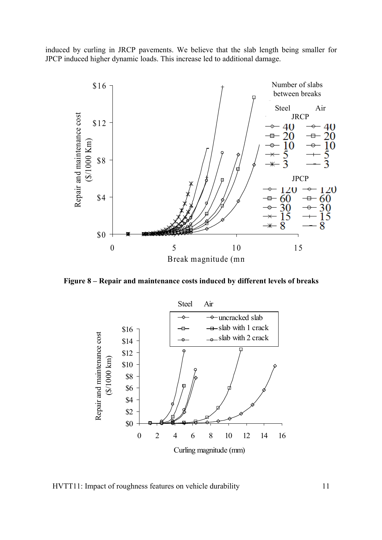induced by curling in JRCP pavements. We believe that the slab length being smaller for JPCP induced higher dynamic loads. This increase led to additional damage.



**Figure 8 – Repair and maintenance costs induced by different levels of breaks**



HVTT11: Impact of roughness features on vehicle durability 11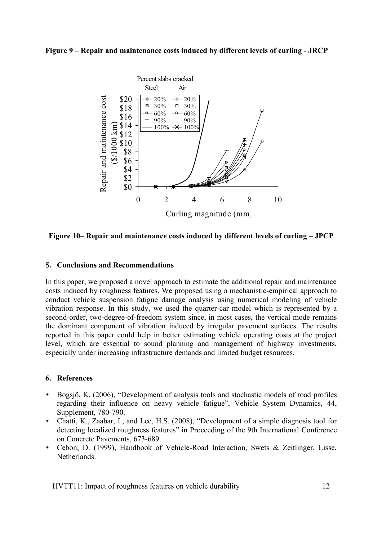#### **Figure 9 – Repair and maintenance costs induced by different levels of curling - JRCP**



**Figure 10– Repair and maintenance costs induced by different levels of curling – JPCP**

#### **5. Conclusions and Recommendations**

In this paper, we proposed a novel approach to estimate the additional repair and maintenance costs induced by roughness features. We proposed using a mechanistic-empirical approach to conduct vehicle suspension fatigue damage analysis using numerical modeling of vehicle vibration response. In this study, we used the quarter-car model which is represented by a second-order, two-degree-of-freedom system since, in most cases, the vertical mode remains the dominant component of vibration induced by irregular pavement surfaces. The results reported in this paper could help in better estimating vehicle operating costs at the project level, which are essential to sound planning and management of highway investments, especially under increasing infrastructure demands and limited budget resources.

#### **6. References**

- Bogsjö, K. (2006), "Development of analysis tools and stochastic models of road profiles regarding their influence on heavy vehicle fatigue", Vehicle System Dynamics, 44, Supplement, 780-790.
- Chatti, K., Zaabar, I., and Lee, H.S. (2008), "Development of a simple diagnosis tool for detecting localized roughness features" in Proceeding of the 9th International Conference on Concrete Pavements, 673-689.
- Cebon, D. (1999), Handbook of Vehicle-Road Interaction, Swets & Zeitlinger, Lisse, Netherlands.